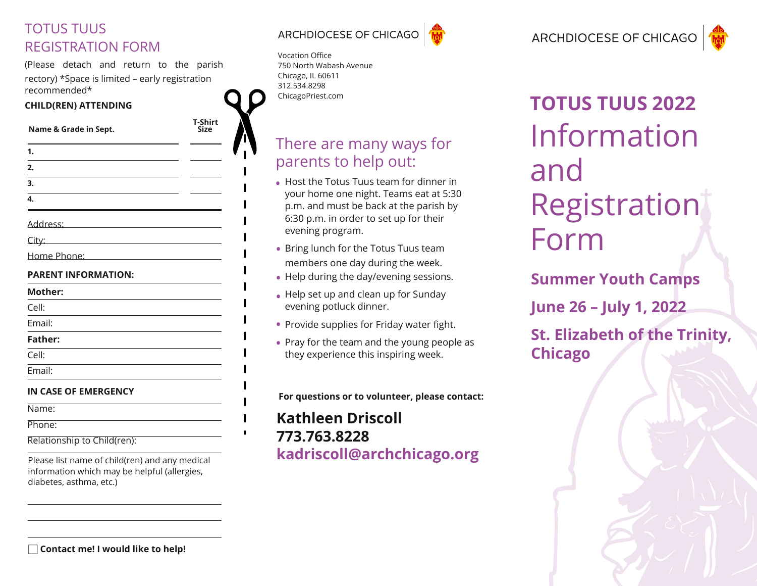### TOTUS TUUS REGISTRATION FORM

(Please detach and return to the parish rectory) \*Space is limited – early registration recommended\*

### **CHILD(REN) ATTENDING**

**T-Shirt**

| Name & Grade in Sept. |  |  |  |
|-----------------------|--|--|--|
|                       |  |  |  |

- **1. 2.**
- **3.**
- **4.**
- 
- Address:
- City:
- Home Phone:

### **PARENT INFORMATION:**

- **Mother:** Cell: Email: **Father:** Cell:
- Email:
- **IN CASE OF EMERGENCY**
- Name:
- Phone:
- Relationship to Child(ren):

Please list name of child(ren) and any medical information which may be helpful (allergies, diabetes, asthma, etc.)



Vocation Office 750 North Wabash Avenue Chicago, IL 60611 312.534.8298 [ChicagoPriest.com](https://vocations.archchicago.org/)

### There are many ways for parents to help out:

- Host the Totus Tuus team for dinner in **•** your home one night. Teams eat at 5:30 p.m. and must be back at the parish by 6:30 p.m. in order to set up for their evening program.
- Bring lunch for the Totus Tuus team **•** members one day during the week.
- Help during the day/evening sessions. **•**
- Help set up and clean up for Sunday **•** evening potluck dinner.
- **•** Provide supplies for Friday water fight.
- Pray for the team and the young people as **•**they experience this inspiring week.

**For questions or to volunteer, please contact:**

### **Kathleen Driscoll [773.763.8228](mailto:kadriscoll%40archchicago.org?subject=) [kadriscoll@archchicago.org](mailto:kadriscoll%40archchicago.org?subject=)**

# Information and **Registration** Form **TOTUS TUUS 2022**

**Summer Youth Camps June 26 – July 1, 2022 St. Elizabeth of the Trinity, Chicago**

**Contact me! I would like to help!** □

ARCHDIOCESE OF CHICAGO